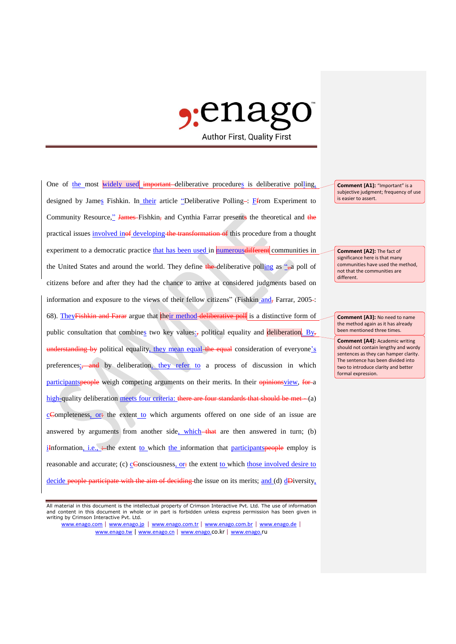

One of the most widely used important deliberative procedures is deliberative polling, designed by James Fishkin. In their article "Deliberative Polling-: Ffrom Experiment to Community Resource," James-Fishkin, and Cynthia Farrar presents the theoretical and the practical issues involved inof developing the transformation of this procedure from a thought experiment to a democratic practice that has been used in numerous different communities in the United States and around the world. They define the deliberative polling as  $\frac{a}{n}$  poll of citizens before and after they had the chance to arrive at considered judgments based on information and exposure to the views of their fellow citizens" (Fishkin and, Farrar, 2005-: 68). They<del>Fishkin and Farar</del> argue that their method deliberative poll is a distinctive form of public consultation that combines two key values:, political equality and deliberation. By, understanding by political equality, they mean equal the equal consideration of everyone's preferences<sub>i</sub>, and by deliberation, they refer to a process of discussion in which participantspeople weigh competing arguments on their merits. In their opinionsview, for a high-quality deliberation meets four criteria: there are four standards that should be met - (a) cCompleteness, or: the extent to which arguments offered on one side of an issue are answered by arguments from another side, which  $-\theta$  that are then answered in turn; (b) iInformation, i.e.,  $\rightleftharpoons$  the extent to which the information that participants propose employ is reasonable and accurate; (c)  $C$ Consciousness, or: the extent to which those involved desire to decide people participate with the aim of deciding the issue on its merits; and (d) dDiversity,

All material in this document is the intellectual property of Crimson Interactive Pvt. Ltd. The use of information and content in this document in whole or in part is forbidden unless express permission has been given in writing by Crimson Interactive Pvt. Ltd.

www.enago.com | www.enago.jp | www.enago.com.tr | www.enago.com.br | www.enago.de | www.enago.tw | www.enago.cn | www.enago.co.kr | www.enago.ru

**Comment [A1]:** "Important" is a subjective judgment; frequency of use is easier to assert.

**Comment [A2]:** The fact of significance here is that many communities have used the method, not that the communities are different.

**Comment [A3]:** No need to name the method again as it has already been mentioned three times.

**Comment [A4]:** Academic writing should not contain lengthy and wordy sentences as they can hamper clarity. The sentence has been divided into two to introduce clarity and better formal expression.